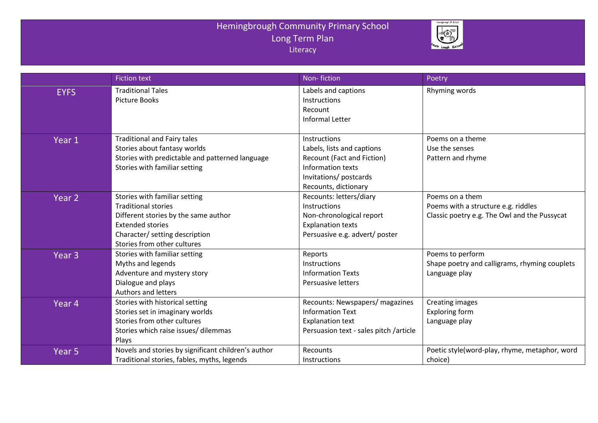## Hemingbrough Community Primary School Long Term Plan **Literacy**



|                   | <b>Fiction text</b>                                                                                                                                                                             | Non-fiction                                                                                                                                    | Poetry                                                                                                 |
|-------------------|-------------------------------------------------------------------------------------------------------------------------------------------------------------------------------------------------|------------------------------------------------------------------------------------------------------------------------------------------------|--------------------------------------------------------------------------------------------------------|
| <b>EYFS</b>       | <b>Traditional Tales</b><br><b>Picture Books</b>                                                                                                                                                | Labels and captions<br>Instructions<br>Recount<br>Informal Letter                                                                              | Rhyming words                                                                                          |
| Year 1            | <b>Traditional and Fairy tales</b><br>Stories about fantasy worlds<br>Stories with predictable and patterned language<br>Stories with familiar setting                                          | Instructions<br>Labels, lists and captions<br>Recount (Fact and Fiction)<br>Information texts<br>Invitations/postcards<br>Recounts, dictionary | Poems on a theme<br>Use the senses<br>Pattern and rhyme                                                |
| Year 2            | Stories with familiar setting<br><b>Traditional stories</b><br>Different stories by the same author<br><b>Extended stories</b><br>Character/ setting description<br>Stories from other cultures | Recounts: letters/diary<br>Instructions<br>Non-chronological report<br><b>Explanation texts</b><br>Persuasive e.g. advert/ poster              | Poems on a them<br>Poems with a structure e.g. riddles<br>Classic poetry e.g. The Owl and the Pussycat |
| Year <sub>3</sub> | Stories with familiar setting<br>Myths and legends<br>Adventure and mystery story<br>Dialogue and plays<br><b>Authors and letters</b>                                                           | Reports<br>Instructions<br><b>Information Texts</b><br>Persuasive letters                                                                      | Poems to perform<br>Shape poetry and calligrams, rhyming couplets<br>Language play                     |
| Year <sub>4</sub> | Stories with historical setting<br>Stories set in imaginary worlds<br>Stories from other cultures<br>Stories which raise issues/ dilemmas<br>Plays                                              | Recounts: Newspapers/ magazines<br><b>Information Text</b><br><b>Explanation text</b><br>Persuasion text - sales pitch /article                | <b>Creating images</b><br><b>Exploring form</b><br>Language play                                       |
| Year <sub>5</sub> | Novels and stories by significant children's author<br>Traditional stories, fables, myths, legends                                                                                              | Recounts<br><b>Instructions</b>                                                                                                                | Poetic style(word-play, rhyme, metaphor, word<br>choice)                                               |